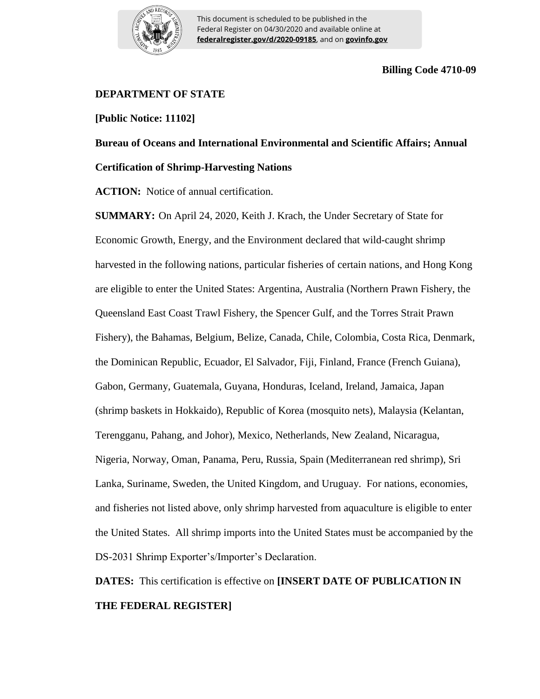

This document is scheduled to be published in the Federal Register on 04/30/2020 and available online at **federalregister.gov/d/2020-09185**, and on **govinfo.gov**

## **Billing Code 4710-09**

## **DEPARTMENT OF STATE**

**[Public Notice: 11102]**

**Bureau of Oceans and International Environmental and Scientific Affairs; Annual Certification of Shrimp-Harvesting Nations**

**ACTION:** Notice of annual certification.

**SUMMARY:** On April 24, 2020, Keith J. Krach, the Under Secretary of State for Economic Growth, Energy, and the Environment declared that wild-caught shrimp harvested in the following nations, particular fisheries of certain nations, and Hong Kong are eligible to enter the United States: Argentina, Australia (Northern Prawn Fishery, the Queensland East Coast Trawl Fishery, the Spencer Gulf, and the Torres Strait Prawn Fishery), the Bahamas, Belgium, Belize, Canada, Chile, Colombia, Costa Rica, Denmark, the Dominican Republic, Ecuador, El Salvador, Fiji, Finland, France (French Guiana), Gabon, Germany, Guatemala, Guyana, Honduras, Iceland, Ireland, Jamaica, Japan (shrimp baskets in Hokkaido), Republic of Korea (mosquito nets), Malaysia (Kelantan, Terengganu, Pahang, and Johor), Mexico, Netherlands, New Zealand, Nicaragua, Nigeria, Norway, Oman, Panama, Peru, Russia, Spain (Mediterranean red shrimp), Sri Lanka, Suriname, Sweden, the United Kingdom, and Uruguay. For nations, economies, and fisheries not listed above, only shrimp harvested from aquaculture is eligible to enter the United States. All shrimp imports into the United States must be accompanied by the DS-2031 Shrimp Exporter's/Importer's Declaration.

**DATES:**This certification is effective on **[INSERT DATE OF PUBLICATION IN THE FEDERAL REGISTER]**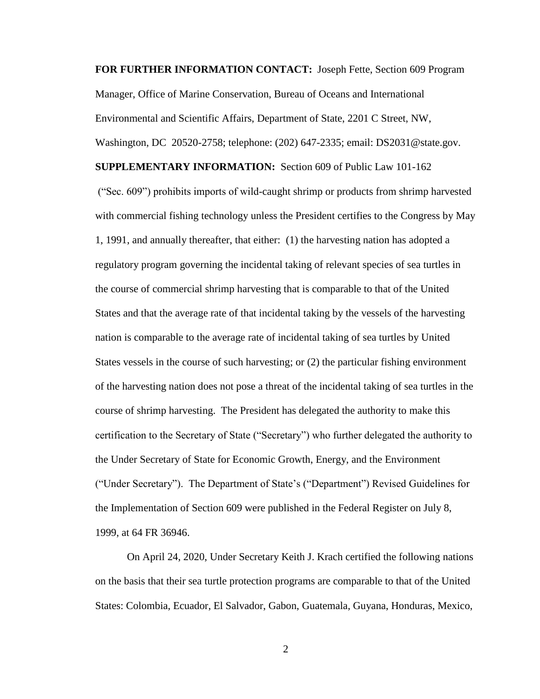**FOR FURTHER INFORMATION CONTACT:** Joseph Fette, Section 609 Program Manager, Office of Marine Conservation, Bureau of Oceans and International Environmental and Scientific Affairs, Department of State, 2201 C Street, NW,

Washington, DC 20520-2758; telephone: (202) 647-2335; email: DS2031@state.gov.

**SUPPLEMENTARY INFORMATION:** Section 609 of Public Law 101-162

("Sec. 609") prohibits imports of wild-caught shrimp or products from shrimp harvested with commercial fishing technology unless the President certifies to the Congress by May 1, 1991, and annually thereafter, that either: (1) the harvesting nation has adopted a regulatory program governing the incidental taking of relevant species of sea turtles in the course of commercial shrimp harvesting that is comparable to that of the United States and that the average rate of that incidental taking by the vessels of the harvesting nation is comparable to the average rate of incidental taking of sea turtles by United States vessels in the course of such harvesting; or (2) the particular fishing environment of the harvesting nation does not pose a threat of the incidental taking of sea turtles in the course of shrimp harvesting. The President has delegated the authority to make this certification to the Secretary of State ("Secretary") who further delegated the authority to the Under Secretary of State for Economic Growth, Energy, and the Environment ("Under Secretary"). The Department of State's ("Department") Revised Guidelines for the Implementation of Section 609 were published in the Federal Register on July 8, 1999, at 64 FR 36946.

On April 24, 2020, Under Secretary Keith J. Krach certified the following nations on the basis that their sea turtle protection programs are comparable to that of the United States: Colombia, Ecuador, El Salvador, Gabon, Guatemala, Guyana, Honduras, Mexico,

2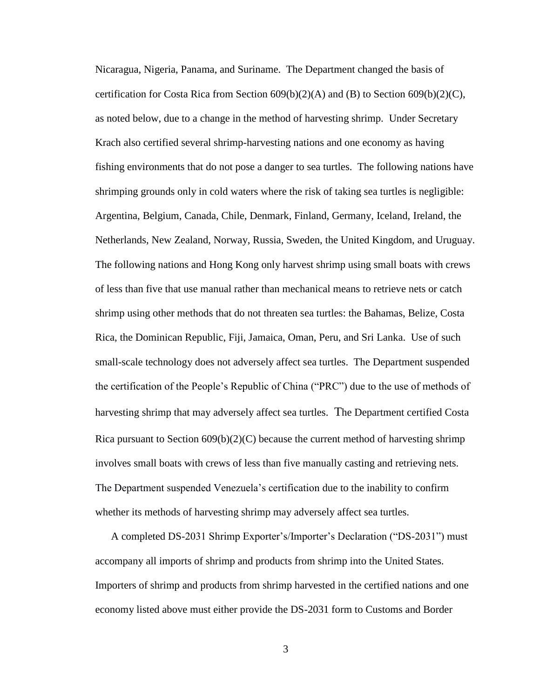Nicaragua, Nigeria, Panama, and Suriname. The Department changed the basis of certification for Costa Rica from Section  $609(b)(2)(A)$  and (B) to Section  $609(b)(2)(C)$ , as noted below, due to a change in the method of harvesting shrimp. Under Secretary Krach also certified several shrimp-harvesting nations and one economy as having fishing environments that do not pose a danger to sea turtles. The following nations have shrimping grounds only in cold waters where the risk of taking sea turtles is negligible: Argentina, Belgium, Canada, Chile, Denmark, Finland, Germany, Iceland, Ireland, the Netherlands, New Zealand, Norway, Russia, Sweden, the United Kingdom, and Uruguay. The following nations and Hong Kong only harvest shrimp using small boats with crews of less than five that use manual rather than mechanical means to retrieve nets or catch shrimp using other methods that do not threaten sea turtles: the Bahamas, Belize, Costa Rica, the Dominican Republic, Fiji, Jamaica, Oman, Peru, and Sri Lanka. Use of such small-scale technology does not adversely affect sea turtles. The Department suspended the certification of the People's Republic of China ("PRC") due to the use of methods of harvesting shrimp that may adversely affect sea turtles. The Department certified Costa Rica pursuant to Section  $609(b)(2)(C)$  because the current method of harvesting shrimp involves small boats with crews of less than five manually casting and retrieving nets. The Department suspended Venezuela's certification due to the inability to confirm whether its methods of harvesting shrimp may adversely affect sea turtles.

A completed DS-2031 Shrimp Exporter's/Importer's Declaration ("DS-2031") must accompany all imports of shrimp and products from shrimp into the United States. Importers of shrimp and products from shrimp harvested in the certified nations and one economy listed above must either provide the DS-2031 form to Customs and Border

3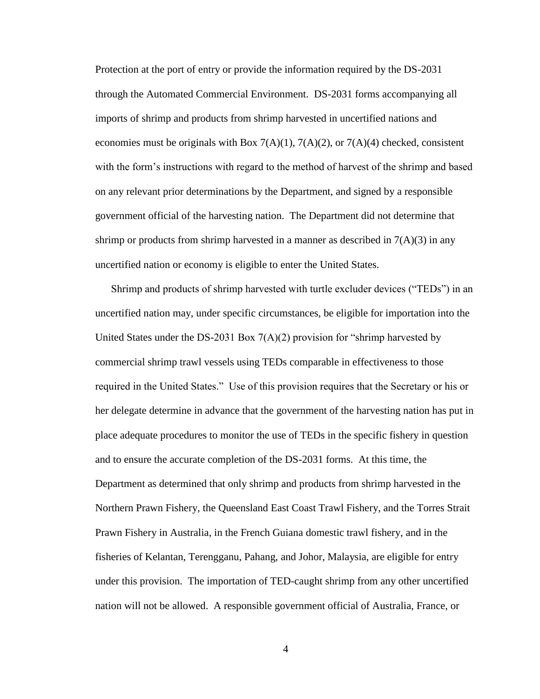Protection at the port of entry or provide the information required by the DS-2031 through the Automated Commercial Environment. DS-2031 forms accompanying all imports of shrimp and products from shrimp harvested in uncertified nations and economies must be originals with Box  $7(A)(1)$ ,  $7(A)(2)$ , or  $7(A)(4)$  checked, consistent with the form's instructions with regard to the method of harvest of the shrimp and based on any relevant prior determinations by the Department, and signed by a responsible government official of the harvesting nation. The Department did not determine that shrimp or products from shrimp harvested in a manner as described in  $7(A)(3)$  in any uncertified nation or economy is eligible to enter the United States.

Shrimp and products of shrimp harvested with turtle excluder devices ("TEDs") in an uncertified nation may, under specific circumstances, be eligible for importation into the United States under the DS-2031 Box  $7(A)(2)$  provision for "shrimp harvested by commercial shrimp trawl vessels using TEDs comparable in effectiveness to those required in the United States." Use of this provision requires that the Secretary or his or her delegate determine in advance that the government of the harvesting nation has put in place adequate procedures to monitor the use of TEDs in the specific fishery in question and to ensure the accurate completion of the DS-2031 forms. At this time, the Department as determined that only shrimp and products from shrimp harvested in the Northern Prawn Fishery, the Queensland East Coast Trawl Fishery, and the Torres Strait Prawn Fishery in Australia, in the French Guiana domestic trawl fishery, and in the fisheries of Kelantan, Terengganu, Pahang, and Johor, Malaysia, are eligible for entry under this provision. The importation of TED-caught shrimp from any other uncertified nation will not be allowed. A responsible government official of Australia, France, or